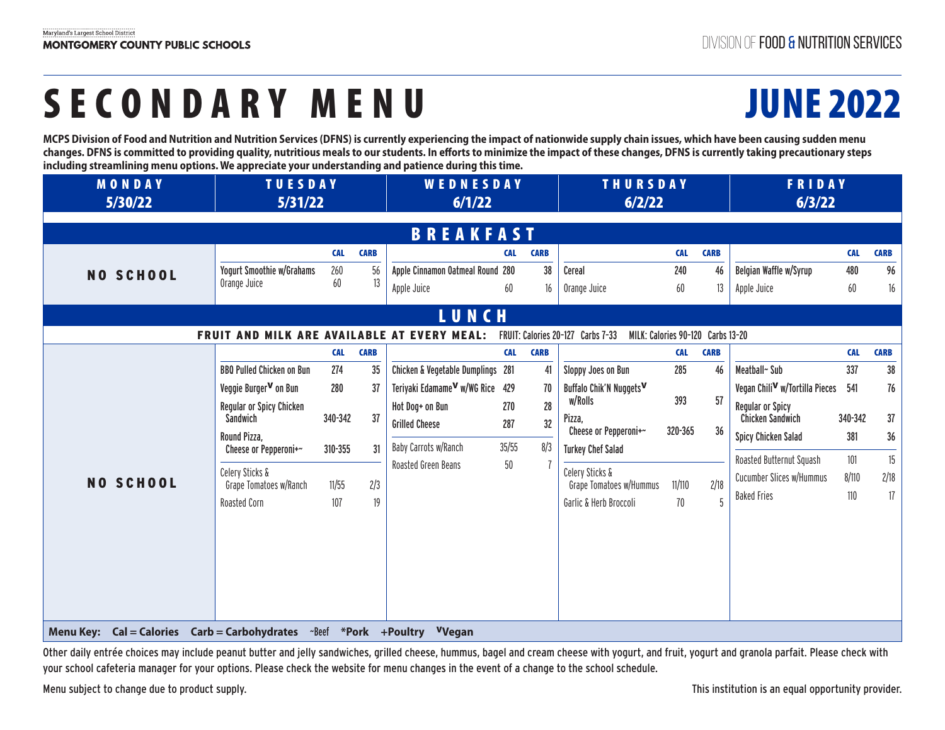# SECONDARY MENU JUNE 2022

**MCPS Division of Food and Nutrition and Nutrition Services (DFNS) is currently experiencing the impact of nationwide supply chain issues, which have been causing sudden menu changes. DFNS is committed to providing quality, nutritious meals to our students. In efforts to minimize the impact of these changes, DFNS is currently taking precautionary steps including streamlining menu options. We appreciate your understanding and patience during this time.**

| <b>MONDAY</b><br>5/30/22                                                              | <b>TUESDAY</b><br>5/31/22                          |            |             | <b>WEDNESDAY</b><br>6/1/22                  |             |             | <b>THURSDAY</b><br>6/2/22                                              |            |             | FRIDAY<br>6/3/22                                   |            |             |  |
|---------------------------------------------------------------------------------------|----------------------------------------------------|------------|-------------|---------------------------------------------|-------------|-------------|------------------------------------------------------------------------|------------|-------------|----------------------------------------------------|------------|-------------|--|
| <b>BREAKFAST</b>                                                                      |                                                    |            |             |                                             |             |             |                                                                        |            |             |                                                    |            |             |  |
|                                                                                       |                                                    | <b>CAL</b> | <b>CARB</b> |                                             | <b>CAL</b>  | <b>CARB</b> |                                                                        | <b>CAL</b> | <b>CARB</b> |                                                    | <b>CAL</b> | <b>CARB</b> |  |
| <b>NO SCHOOL</b>                                                                      | <b>Yogurt Smoothie w/Grahams</b>                   | 260        | 56          | Apple Cinnamon Oatmeal Round 280            |             | 38          | Cereal                                                                 | 240        | 46          | Belgian Waffle w/Syrup                             | 480        | 96          |  |
|                                                                                       | Orange Juice                                       | 60         | 13          | Apple Juice                                 | 60          | 16          | Orange Juice                                                           | 60         | 13          | Apple Juice                                        | 60         | $16\,$      |  |
|                                                                                       |                                                    |            |             | LUNCH                                       |             |             |                                                                        |            |             |                                                    |            |             |  |
|                                                                                       | <b>FRUIT AND MILK ARE AVAILABLE AT EVERY MEAL:</b> |            |             |                                             |             |             | FRUIT: Calories 20-127 Carbs 7-33<br>MILK: Calories 90-120 Carbs 13-20 |            |             |                                                    |            |             |  |
|                                                                                       |                                                    | <b>CAL</b> | <b>CARB</b> |                                             | <b>CAL</b>  | <b>CARB</b> |                                                                        | <b>CAL</b> | <b>CARB</b> |                                                    | <b>CAL</b> | <b>CARB</b> |  |
|                                                                                       | <b>BBQ Pulled Chicken on Bun</b>                   | 274        | 35          | Chicken & Vegetable Dumplings 281           |             | 41          | Sloppy Joes on Bun                                                     | 285        | 46          | Meatball~ Sub                                      | 337        | 38          |  |
|                                                                                       | Veggie Burger <sup>V</sup> on Bun                  | 280        | 37          | Teriyaki Edamame <sup>V</sup> w/WG Rice 429 |             | 70          | Buffalo Chik'N Nuggets <sup>V</sup>                                    |            |             | Vegan Chili <sup>V</sup> w/Tortilla Pieces         | 541        | 76          |  |
|                                                                                       | Regular or Spicy Chicken<br>Sandwich               | 340-342    | 37          | Hot Dog+ on Bun<br><b>Grilled Cheese</b>    | 270<br>287  | 28<br>32    | w/Rolls<br>Pizza.                                                      | 393        | 57          | <b>Regular or Spicy</b><br><b>Chicken Sandwich</b> | 340-342    | 37          |  |
|                                                                                       | Round Pizza,                                       |            |             |                                             |             |             | Cheese or Pepperoni+~                                                  | 320-365    | 36          | <b>Spicy Chicken Salad</b>                         | 381        | 36          |  |
|                                                                                       | Cheese or Pepperoni+~                              | 310-355    | 31          | Baby Carrots w/Ranch<br>Roasted Green Beans | 35/55<br>50 | 8/3         | <b>Turkey Chef Salad</b>                                               |            |             | Roasted Butternut Squash                           | 101        | 15          |  |
| <b>NO SCHOOL</b>                                                                      | Celery Sticks &<br>Grape Tomatoes w/Ranch          | 11/55      | 2/3         |                                             |             |             | Celery Sticks &<br>Grape Tomatoes w/Hummus                             | 11/110     | 2/18        | Cucumber Slices w/Hummus                           | 8/110      | 2/18        |  |
|                                                                                       | Roasted Corn                                       | 107        | 19          |                                             |             |             | Garlic & Herb Broccoli                                                 | 70         | 5           | <b>Baked Fries</b>                                 | $110$      | 17          |  |
|                                                                                       |                                                    |            |             |                                             |             |             |                                                                        |            |             |                                                    |            |             |  |
| Menu Key: Cal = Calories Carb = Carbohydrates ~Beef *Pork +Poultry <sup>V</sup> Vegan |                                                    |            |             |                                             |             |             |                                                                        |            |             |                                                    |            |             |  |

Other daily entrée choices may include peanut butter and jelly sandwiches, grilled cheese, hummus, bagel and cream cheese with yogurt, and fruit, yogurt and granola parfait. Please check with your school cafeteria manager for your options. Please check the website for menu changes in the event of a change to the school schedule.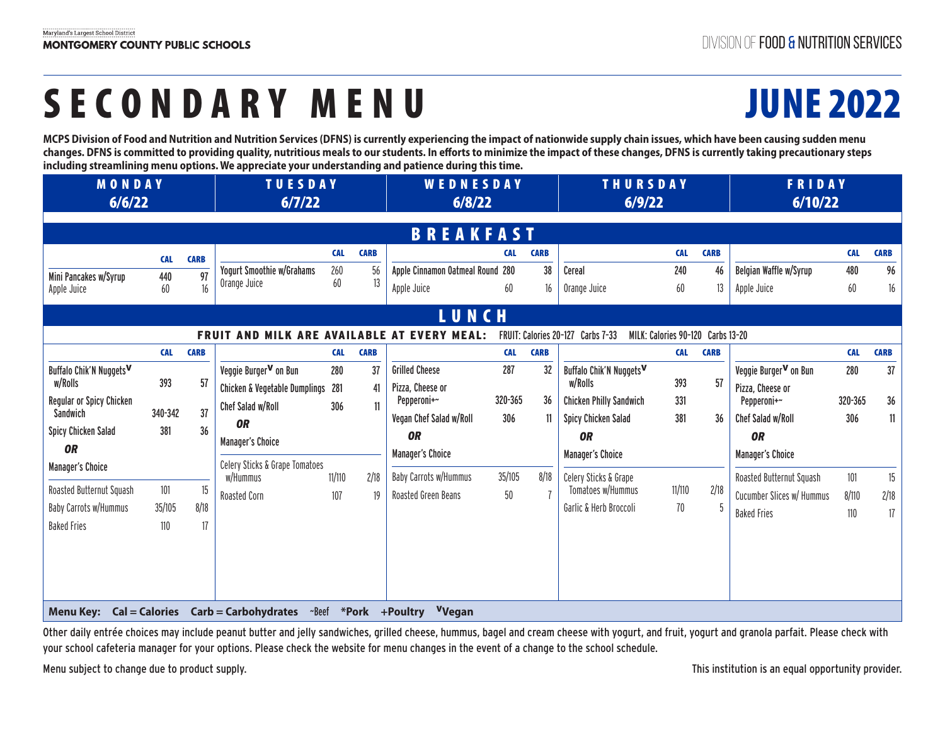# SECONDARY MENU JUNE 2022

**MCPS Division of Food and Nutrition and Nutrition Services (DFNS) is currently experiencing the impact of nationwide supply chain issues, which have been causing sudden menu changes. DFNS is committed to providing quality, nutritious meals to our students. In efforts to minimize the impact of these changes, DFNS is currently taking precautionary steps including streamlining menu options. We appreciate your understanding and patience during this time.**

| <b>MONDAY</b><br>6/6/22                                                                                                                                                                  |                                            |                                     | <b>TUESDAY</b><br>6/7/22                                                                                                                                                                          |                                           |                                             | <b>WEDNESDAY</b><br>6/8/22                                                                                                                                                  |                                                     |                                       | <b>THURSDAY</b><br>6/9/22                                                                                                                                                                            |                                           |                                 | FRIDAY<br>6/10/22                                                                                                                                                                                 |                                                     |                                             |
|------------------------------------------------------------------------------------------------------------------------------------------------------------------------------------------|--------------------------------------------|-------------------------------------|---------------------------------------------------------------------------------------------------------------------------------------------------------------------------------------------------|-------------------------------------------|---------------------------------------------|-----------------------------------------------------------------------------------------------------------------------------------------------------------------------------|-----------------------------------------------------|---------------------------------------|------------------------------------------------------------------------------------------------------------------------------------------------------------------------------------------------------|-------------------------------------------|---------------------------------|---------------------------------------------------------------------------------------------------------------------------------------------------------------------------------------------------|-----------------------------------------------------|---------------------------------------------|
|                                                                                                                                                                                          |                                            |                                     |                                                                                                                                                                                                   |                                           |                                             | <b>BREAKFAST</b>                                                                                                                                                            |                                                     |                                       |                                                                                                                                                                                                      |                                           |                                 |                                                                                                                                                                                                   |                                                     |                                             |
| Mini Pancakes w/Syrup<br>Apple Juice                                                                                                                                                     | <b>CAL</b><br>440<br>60                    | <b>CARB</b><br>97<br>16             | Yogurt Smoothie w/Grahams<br>Orange Juice                                                                                                                                                         | <b>CAL</b><br>260<br>60                   | <b>CARB</b><br>56<br>13                     | Apple Cinnamon Oatmeal Round 280<br>Apple Juice                                                                                                                             | <b>CAL</b><br>60                                    | <b>CARB</b><br>38<br>16               | Cereal<br>Orange Juice                                                                                                                                                                               | <b>CAL</b><br>240<br>60                   | <b>CARB</b><br>46<br>13         | Belgian Waffle w/Syrup<br>Apple Juice                                                                                                                                                             | <b>CAL</b><br>480<br>60                             | <b>CARB</b><br>96<br>$16\,$                 |
|                                                                                                                                                                                          |                                            |                                     | FRUIT AND MILK ARE AVAILABLE AT EVERY MEAL:                                                                                                                                                       |                                           |                                             | <b>LUNCH</b>                                                                                                                                                                |                                                     |                                       | FRUIT: Calories 20-127 Carbs 7-33<br>MILK: Calories 90-120 Carbs 13-20                                                                                                                               |                                           |                                 |                                                                                                                                                                                                   |                                                     |                                             |
| Buffalo Chik'N Nuggets <sup>V</sup><br>w/Rolls<br>Regular or Spicy Chicken<br>Sandwich<br><b>Spicy Chicken Salad</b><br><b>OR</b><br><b>Manager's Choice</b><br>Roasted Butternut Squash | <b>CAL</b><br>393<br>340-342<br>381<br>101 | <b>CARB</b><br>57<br>37<br>36<br>15 | Veggie Burger <sup>V</sup> on Bun<br>Chicken & Vegetable Dumplings 281<br>Chef Salad w/Roll<br><b>OR</b><br><b>Manager's Choice</b><br>Celery Sticks & Grape Tomatoes<br>w/Hummus<br>Roasted Corn | <b>CAL</b><br>280<br>306<br>11/110<br>107 | <b>CARB</b><br>37<br>41<br>11<br>2/18<br>19 | <b>Grilled Cheese</b><br>Pizza, Cheese or<br>Pepperoni+~<br>Vegan Chef Salad w/Roll<br><b>OR</b><br><b>Manager's Choice</b><br>Baby Carrots w/Hummus<br>Roasted Green Beans | <b>CAL</b><br>287<br>320-365<br>306<br>35/105<br>50 | <b>CARB</b><br>32<br>36<br>11<br>8/18 | Buffalo Chik'N Nuggets <sup>V</sup><br>w/Rolls<br><b>Chicken Philly Sandwich</b><br><b>Spicy Chicken Salad</b><br><b>OR</b><br><b>Manager's Choice</b><br>Celery Sticks & Grape<br>Tomatoes w/Hummus | <b>CAL</b><br>393<br>331<br>381<br>11/110 | <b>CARB</b><br>57<br>36<br>2/18 | Veggie Burger <sup>V</sup> on Bun<br>Pizza. Cheese or<br>Pepperoni+~<br>Chef Salad w/Roll<br><b>OR</b><br><b>Manager's Choice</b><br>Roasted Butternut Squash<br><b>Cucumber Slices w/ Hummus</b> | <b>CAL</b><br>280<br>320-365<br>306<br>101<br>8/110 | <b>CARB</b><br>37<br>36<br>11<br>15<br>2/18 |
| Baby Carrots w/Hummus<br><b>Baked Fries</b><br><b>Menu Key:</b>                                                                                                                          | 35/105<br>110                              | 8/18<br>17                          | $Cal = Calories$ Carb = Carbohydrates $\sim$ Beef $*Pork$ +Poultry                                                                                                                                |                                           |                                             | Vyegan                                                                                                                                                                      |                                                     |                                       | Garlic & Herb Broccoli                                                                                                                                                                               | 70                                        |                                 | <b>Baked Fries</b>                                                                                                                                                                                | 110                                                 | 17                                          |

Other daily entrée choices may include peanut butter and jelly sandwiches, grilled cheese, hummus, bagel and cream cheese with yogurt, and fruit, yogurt and granola parfait. Please check with your school cafeteria manager for your options. Please check the website for menu changes in the event of a change to the school schedule.

Menu subject to change due to product supply. This institution is an equal opportunity provider.